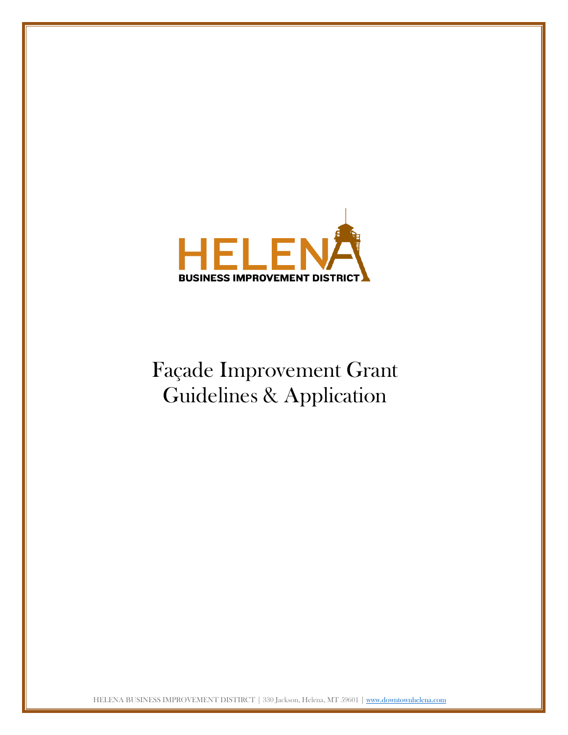

# Façade Improvement Grant Guidelines & Application

HELENA BUSINESS IMPROVEMENT DISTIRCT | 330 Jackson, Helena, MT 59601 [| www.downtownhelena.com](http://www.downtownhelena.com/)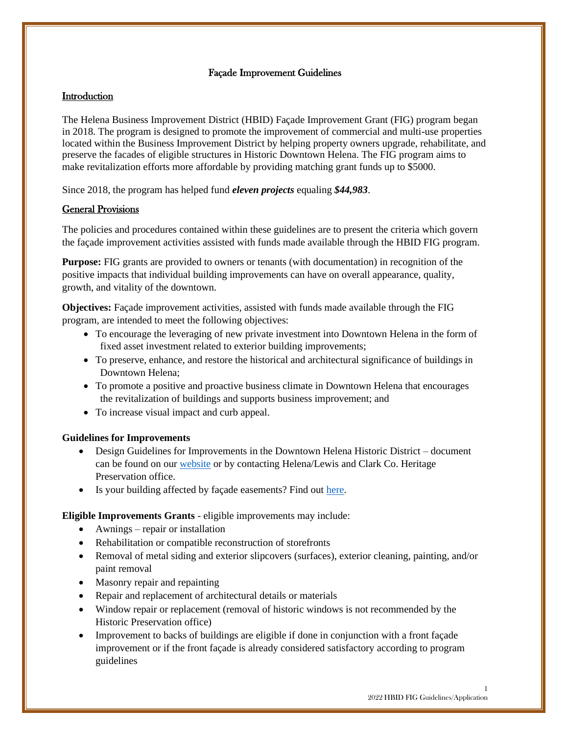#### Façade Improvement Guidelines

#### **Introduction**

The Helena Business Improvement District (HBID) Façade Improvement Grant (FIG) program began in 2018. The program is designed to promote the improvement of commercial and multi-use properties located within the Business Improvement District by helping property owners upgrade, rehabilitate, and preserve the facades of eligible structures in Historic Downtown Helena. The FIG program aims to make revitalization efforts more affordable by providing matching grant funds up to \$5000.

Since 2018, the program has helped fund *eleven projects* equaling *\$44,983*.

#### General Provisions

The policies and procedures contained within these guidelines are to present the criteria which govern the façade improvement activities assisted with funds made available through the HBID FIG program.

**Purpose:** FIG grants are provided to owners or tenants (with documentation) in recognition of the positive impacts that individual building improvements can have on overall appearance, quality, growth, and vitality of the downtown.

**Objectives:** Façade improvement activities, assisted with funds made available through the FIG program, are intended to meet the following objectives:

- To encourage the leveraging of new private investment into Downtown Helena in the form of fixed asset investment related to exterior building improvements;
- To preserve, enhance, and restore the historical and architectural significance of buildings in Downtown Helena;
- To promote a positive and proactive business climate in Downtown Helena that encourages the revitalization of buildings and supports business improvement; and
- To increase visual impact and curb appeal.

#### **Guidelines for Improvements**

- Design Guidelines for Improvements in the Downtown Helena Historic District document can be found on our [website](https://downtownhelena.com/business-improvement-district/facade-grant/) or by contacting Helena/Lewis and Clark Co. Heritage Preservation office.
- Is your building affected by façade easements? Find out [here.](https://downtownhelena.com/wp-content/uploads/2021/04/Helena-Facade-Easements-List-of-Buildings.pdf)

**Eligible Improvements Grants** - eligible improvements may include:

- Awnings repair or installation
- Rehabilitation or compatible reconstruction of storefronts
- Removal of metal siding and exterior slipcovers (surfaces), exterior cleaning, painting, and/or paint removal
- Masonry repair and repainting
- Repair and replacement of architectural details or materials
- Window repair or replacement (removal of historic windows is not recommended by the Historic Preservation office)
- Improvement to backs of buildings are eligible if done in conjunction with a front façade improvement or if the front façade is already considered satisfactory according to program guidelines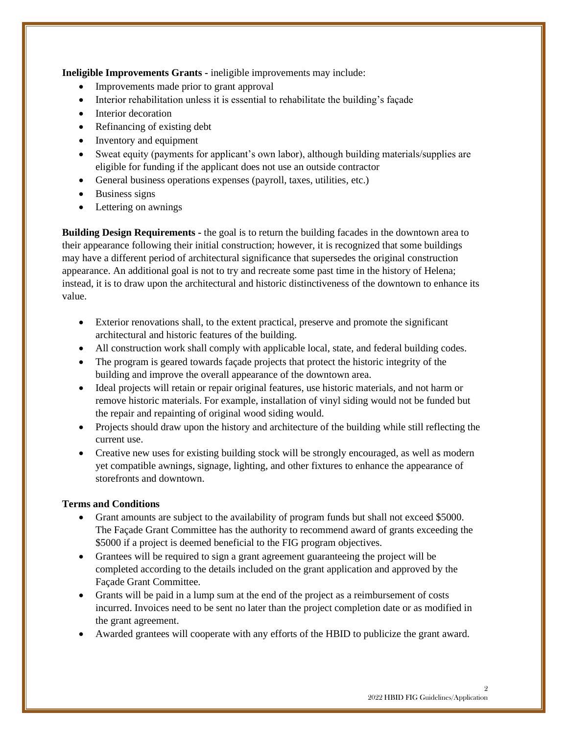**Ineligible Improvements Grants -** ineligible improvements may include:

- Improvements made prior to grant approval
- Interior rehabilitation unless it is essential to rehabilitate the building's façade
- Interior decoration
- Refinancing of existing debt
- Inventory and equipment
- Sweat equity (payments for applicant's own labor), although building materials/supplies are eligible for funding if the applicant does not use an outside contractor
- General business operations expenses (payroll, taxes, utilities, etc.)
- Business signs
- Lettering on awnings

**Building Design Requirements -** the goal is to return the building facades in the downtown area to their appearance following their initial construction; however, it is recognized that some buildings may have a different period of architectural significance that supersedes the original construction appearance. An additional goal is not to try and recreate some past time in the history of Helena; instead, it is to draw upon the architectural and historic distinctiveness of the downtown to enhance its value.

- Exterior renovations shall, to the extent practical, preserve and promote the significant architectural and historic features of the building.
- All construction work shall comply with applicable local, state, and federal building codes.
- The program is geared towards façade projects that protect the historic integrity of the building and improve the overall appearance of the downtown area.
- Ideal projects will retain or repair original features, use historic materials, and not harm or remove historic materials. For example, installation of vinyl siding would not be funded but the repair and repainting of original wood siding would.
- Projects should draw upon the history and architecture of the building while still reflecting the current use.
- Creative new uses for existing building stock will be strongly encouraged, as well as modern yet compatible awnings, signage, lighting, and other fixtures to enhance the appearance of storefronts and downtown.

#### **Terms and Conditions**

- Grant amounts are subject to the availability of program funds but shall not exceed \$5000. The Façade Grant Committee has the authority to recommend award of grants exceeding the \$5000 if a project is deemed beneficial to the FIG program objectives.
- Grantees will be required to sign a grant agreement guaranteeing the project will be completed according to the details included on the grant application and approved by the Façade Grant Committee.
- Grants will be paid in a lump sum at the end of the project as a reimbursement of costs incurred. Invoices need to be sent no later than the project completion date or as modified in the grant agreement.
- Awarded grantees will cooperate with any efforts of the HBID to publicize the grant award.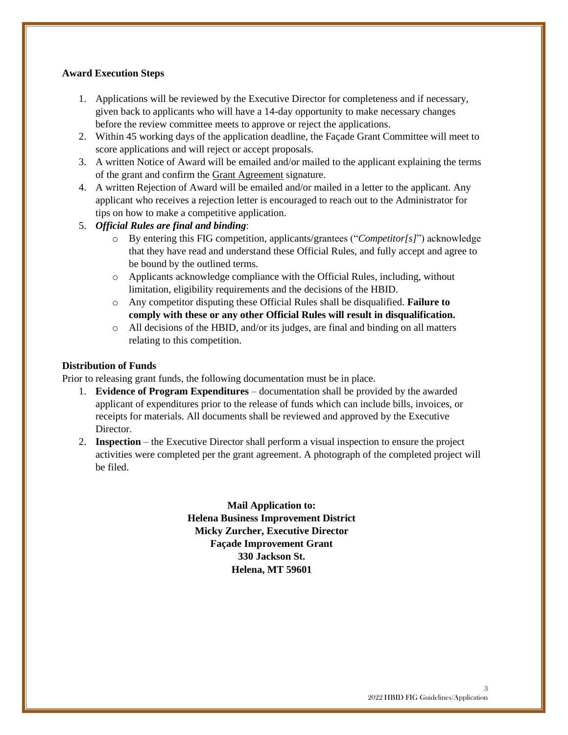#### **Award Execution Steps**

- 1. Applications will be reviewed by the Executive Director for completeness and if necessary, given back to applicants who will have a 14-day opportunity to make necessary changes before the review committee meets to approve or reject the applications.
- 2. Within 45 working days of the application deadline, the Façade Grant Committee will meet to score applications and will reject or accept proposals.
- 3. A written Notice of Award will be emailed and/or mailed to the applicant explaining the terms of the grant and confirm the Grant Agreement signature.
- 4. A written Rejection of Award will be emailed and/or mailed in a letter to the applicant. Any applicant who receives a rejection letter is encouraged to reach out to the Administrator for tips on how to make a competitive application.
- 5. *Official Rules are final and binding*:
	- o By entering this FIG competition, applicants/grantees ("*Competitor[s]*") acknowledge that they have read and understand these Official Rules, and fully accept and agree to be bound by the outlined terms.
	- o Applicants acknowledge compliance with the Official Rules, including, without limitation, eligibility requirements and the decisions of the HBID.
	- o Any competitor disputing these Official Rules shall be disqualified. **Failure to comply with these or any other Official Rules will result in disqualification.**
	- o All decisions of the HBID, and/or its judges, are final and binding on all matters relating to this competition.

#### **Distribution of Funds**

Prior to releasing grant funds, the following documentation must be in place.

- 1. **Evidence of Program Expenditures** documentation shall be provided by the awarded applicant of expenditures prior to the release of funds which can include bills, invoices, or receipts for materials. All documents shall be reviewed and approved by the Executive Director.
- 2. **Inspection**  the Executive Director shall perform a visual inspection to ensure the project activities were completed per the grant agreement. A photograph of the completed project will be filed.

**Mail Application to: Helena Business Improvement District Micky Zurcher, Executive Director Façade Improvement Grant 330 Jackson St. Helena, MT 59601**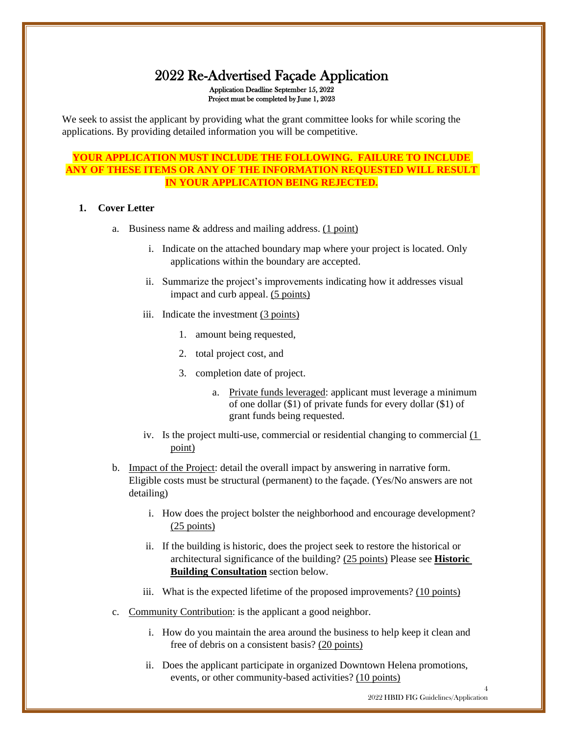### 2022 Re-Advertised Façade Application Application Deadline September 15, 2022 Project must be completed by June 1, 2023

We seek to assist the applicant by providing what the grant committee looks for while scoring the applications. By providing detailed information you will be competitive.

#### **YOUR APPLICATION MUST INCLUDE THE FOLLOWING. FAILURE TO INCLUDE ANY OF THESE ITEMS OR ANY OF THE INFORMATION REQUESTED WILL RESULT IN YOUR APPLICATION BEING REJECTED.**

#### **1. Cover Letter**

- a. Business name & address and mailing address. (1 point)
	- i. Indicate on the attached boundary map where your project is located. Only applications within the boundary are accepted.
	- ii. Summarize the project's improvements indicating how it addresses visual impact and curb appeal. (5 points)
	- iii. Indicate the investment  $(3 \text{ points})$ 
		- 1. amount being requested,
		- 2. total project cost, and
		- 3. completion date of project.
			- a. Private funds leveraged: applicant must leverage a minimum of one dollar (\$1) of private funds for every dollar (\$1) of grant funds being requested.
	- iv. Is the project multi-use, commercial or residential changing to commercial (1 point)
- b. Impact of the Project: detail the overall impact by answering in narrative form. Eligible costs must be structural (permanent) to the façade. (Yes/No answers are not detailing)
	- i. How does the project bolster the neighborhood and encourage development? (25 points)
	- ii. If the building is historic, does the project seek to restore the historical or architectural significance of the building? (25 points) Please see **Historic Building Consultation** section below.
	- iii. What is the expected lifetime of the proposed improvements? (10 points)
- c. Community Contribution: is the applicant a good neighbor.
	- i. How do you maintain the area around the business to help keep it clean and free of debris on a consistent basis? (20 points)
	- ii. Does the applicant participate in organized Downtown Helena promotions, events, or other community-based activities? (10 points)

4 2022 HBID FIG Guidelines/Application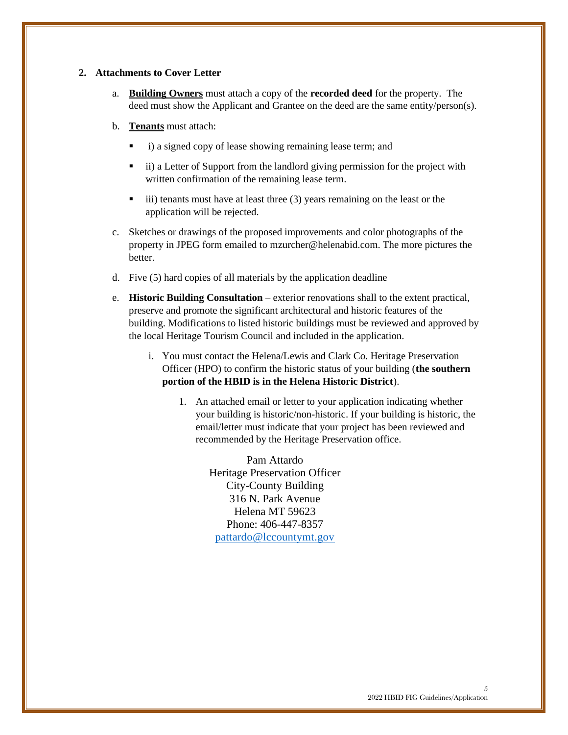#### **2. Attachments to Cover Letter**

- a. **Building Owners** must attach a copy of the **recorded deed** for the property. The deed must show the Applicant and Grantee on the deed are the same entity/person(s).
- b. **Tenants** must attach:
	- i) a signed copy of lease showing remaining lease term; and
	- ii) a Letter of Support from the landlord giving permission for the project with written confirmation of the remaining lease term.
	- iii) tenants must have at least three (3) years remaining on the least or the application will be rejected.
- c. Sketches or drawings of the proposed improvements and color photographs of the property in JPEG form emailed to [mzurcher@helenabid.com.](mailto:mzurcher@helenabid.com) The more pictures the better.
- d. Five (5) hard copies of all materials by the application deadline
- e. **Historic Building Consultation** exterior renovations shall to the extent practical, preserve and promote the significant architectural and historic features of the building. Modifications to listed historic buildings must be reviewed and approved by the local Heritage Tourism Council and included in the application.
	- i. You must contact the Helena/Lewis and Clark Co. Heritage Preservation Officer (HPO) to confirm the historic status of your building (**the southern portion of the HBID is in the Helena Historic District**).
		- 1. An attached email or letter to your application indicating whether your building is historic/non-historic. If your building is historic, the email/letter must indicate that your project has been reviewed and recommended by the Heritage Preservation office.

Pam Attardo Heritage Preservation Officer City-County Building 316 N. Park Avenue Helena MT 59623 Phone: 406-447-8357 [pattardo@lccountymt.gov](mailto:pattardo@lccountymt.gov)

5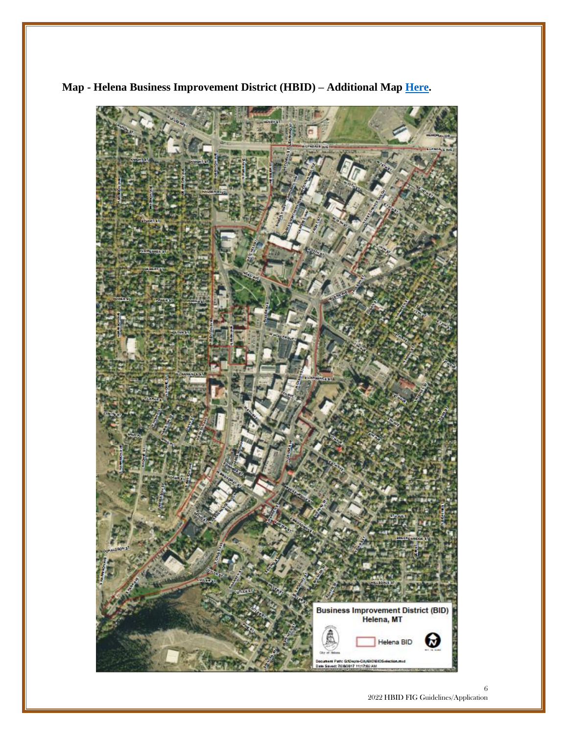

**Map - Helena Business Improvement District (HBID) – Additional Map [Here.](https://downtownhelena.com/wp-content/uploads/2019/04/BID-Boundaries.pdf)**